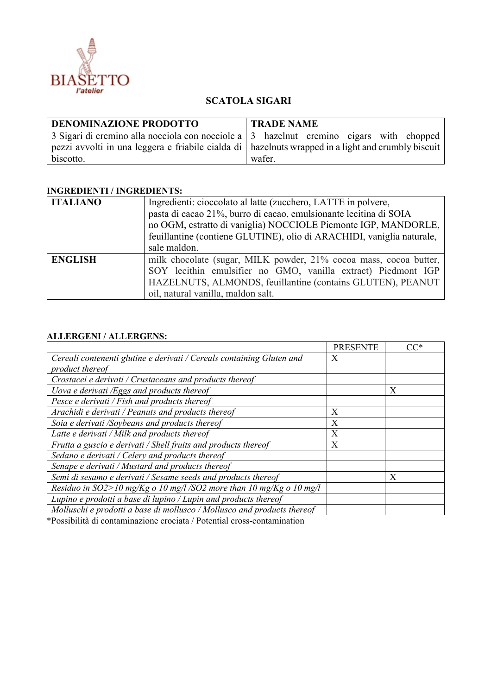

## **SCATOLA SIGARI**

| <b>DENOMINAZIONE PRODOTTO</b>                                                                        | <b>TRADE NAME</b> |  |  |
|------------------------------------------------------------------------------------------------------|-------------------|--|--|
| 3 Sigari di cremino alla nocciola con nocciole a $\vert$ 3 hazelnut cremino cigars with chopped      |                   |  |  |
| pezzi avvolti in una leggera e friabile cialda di   hazelnuts wrapped in a light and crumbly biscuit |                   |  |  |
| biscotto.                                                                                            | wafer.            |  |  |

## **INGREDIENTI / INGREDIENTS:**

| <b>ITALIANO</b> | Ingredienti: cioccolato al latte (zucchero, LATTE in polvere,         |  |  |
|-----------------|-----------------------------------------------------------------------|--|--|
|                 | pasta di cacao 21%, burro di cacao, emulsionante lecitina di SOIA     |  |  |
|                 | no OGM, estratto di vaniglia) NOCCIOLE Piemonte IGP, MANDORLE,        |  |  |
|                 | feuillantine (contiene GLUTINE), olio di ARACHIDI, vaniglia naturale, |  |  |
|                 | sale maldon.                                                          |  |  |
| <b>ENGLISH</b>  | milk chocolate (sugar, MILK powder, 21% cocoa mass, cocoa butter,     |  |  |
|                 | SOY lecithin emulsifier no GMO, vanilla extract) Piedmont IGP         |  |  |
|                 | HAZELNUTS, ALMONDS, feuillantine (contains GLUTEN), PEANUT            |  |  |
|                 | oil, natural vanilla, maldon salt.                                    |  |  |

## **ALLERGENI / ALLERGENS:**

|                                                                         | <b>PRESENTE</b> | $\mathsf{C}\mathsf{C}^*$ |
|-------------------------------------------------------------------------|-----------------|--------------------------|
| Cereali contenenti glutine e derivati / Cereals containing Gluten and   | X               |                          |
| product thereof                                                         |                 |                          |
| Crostacei e derivati / Crustaceans and products thereof                 |                 |                          |
| Uova e derivati /Eggs and products thereof                              |                 | X                        |
| Pesce e derivati / Fish and products thereof                            |                 |                          |
| Arachidi e derivati / Peanuts and products thereof                      | X               |                          |
| Soia e derivati /Soybeans and products thereof                          | X               |                          |
| Latte e derivati / Milk and products thereof                            | X               |                          |
| Frutta a guscio e derivati / Shell fruits and products thereof          | X               |                          |
| Sedano e derivati / Celery and products thereof                         |                 |                          |
| Senape e derivati / Mustard and products thereof                        |                 |                          |
| Semi di sesamo e derivati / Sesame seeds and products thereof           |                 | X                        |
| Residuo in $SO2 > 10$ mg/Kg o 10 mg/l/SO2 more than 10 mg/Kg o 10 mg/l  |                 |                          |
| Lupino e prodotti a base di lupino / Lupin and products thereof         |                 |                          |
| Molluschi e prodotti a base di mollusco / Mollusco and products thereof |                 |                          |

\*Possibilità di contaminazione crociata / Potential cross-contamination